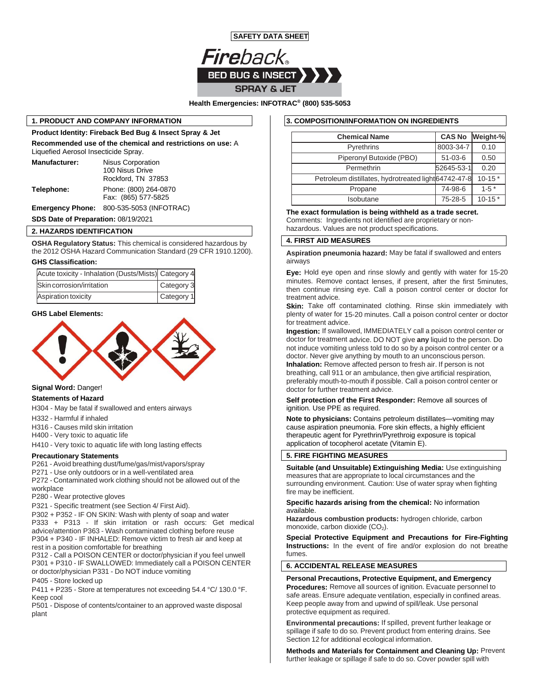

**Health Emergencies: INFOTRAC® (800) 535-5053**

## **1. PRODUCT AND COMPANY INFORMATION**

**Product Identity: Fireback Bed Bug & Insect Spray & Jet Recommended use of the chemical and restrictions on use:** A Liquefied Aerosol Insecticide Spray. **Manufacturer:** Nisus Corporation 100 Nisus Drive Rockford, TN 37853 **Telephone:** Phone: (800) 264-0870

Fax: (865) 577-5825

**Emergency Phone:** 800-535-5053 (INFOTRAC)

**SDS Date of Preparation:** 08/19/2021

## **2. HAZARDS IDENTIFICATION**

**OSHA Regulatory Status:** This chemical is considered hazardous by the 2012 OSHA Hazard Communication Standard (29 CFR 1910.1200).

### **GHS Classification:**

| Acute toxicity - Inhalation (Dusts/Mists) Category 4 |            |
|------------------------------------------------------|------------|
| Skin corrosion/irritation                            | Category 3 |
| Aspiration toxicity                                  | Category 1 |



# **Signal Word:** Danger!

## **Statements of Hazard**

H304 - May be fatal if swallowed and enters airways

- H332 Harmful if inhaled
- H316 Causes mild skin irritation
- H400 Very toxic to aquatic life

H410 - Very toxic to aquatic life with long lasting effects

#### **Precautionary Statements**

P261 - Avoid breathing dust/fume/gas/mist/vapors/spray

P271 - Use only outdoors or in a well-ventilated area

P272 - Contaminated work clothing should not be allowed out of the workplace

P280 - Wear protective gloves

P321 - Specific treatment (see Section 4/ First Aid).

P302 + P352 - IF ON SKIN: Wash with plenty of soap and water P333 + P313 - If skin irritation or rash occurs: Get medical advice/attention P363 - Wash contaminated clothing before reuse P304 + P340 - IF INHALED: Remove victim to fresh air and keep at rest in a position comfortable for breathing

P312 - Call a POISON CENTER or doctor/physician if you feel unwell P301 + P310 - IF SWALLOWED: Immediately call a POISON CENTER or doctor/physician P331 - Do NOT induce vomiting

## P405 - Store locked up

P411 + P235 - Store at temperatures not exceeding 54.4 °C/ 130.0 °F. Keep cool

P501 - Dispose of contents/container to an approved waste disposal plant

## **3. COMPOSITION/INFORMATION ON INGREDIENTS**

| <b>Chemical Name</b>                                 | <b>CAS No</b> | Weight-%   |
|------------------------------------------------------|---------------|------------|
| <b>Pyrethrins</b>                                    | 8003-34-7     | 0.10       |
| Piperonyl Butoxide (PBO)                             | $51-03-6$     | 0.50       |
| Permethrin                                           | 52645-53-1    | 0.20       |
| Petroleum distillates, hydrotreated light 64742-47-8 |               | $10-15*$   |
| Propane                                              | 74-98-6       | $1 - 5*$   |
| Isobutane                                            | 75-28-5       | $10 - 15*$ |

**The exact formulation is being withheld as a trade secret.**

Comments: Ingredients not identified are proprietary or nonhazardous. Values are not product specifications.

#### **4. FIRST AID MEASURES**

**Aspiration pneumonia hazard:** May be fatal if swallowed and enters airways

**Eye:** Hold eye open and rinse slowly and gently with water for 15-20 minutes. Remove contact lenses, if present, after the first 5minutes, then continue rinsing eye. Call a poison control center or doctor for treatment advice.

**GHS Label Elements:** TE **TERNIFY AND REGALLY CONSUMINGLY AND REGALLY CONSUMINGLY PLANE PROPERTY OF OCCOLLY AND REGALLY PLANE PLANE PLANE PLANE PLANE PLANE PLANE PLANE PLANE PLANE PLANE PLANE PLANE PLANE PLANE PLANE PLANE Skin:** Take off contaminated clothing. Rinse skin immediately with for treatment advice.

> **Ingestion:** If swallowed, IMMEDIATELY call a poison control center or doctor for treatment advice. DO NOT give **any** liquid to the person. Do not induce vomiting unless told to do so by a poison control center or a doctor. Never give anything by mouth to an unconscious person. **Inhalation:** Remove affected person to fresh air. If person is not

breathing, call 911 or an ambulance, then give artificial respiration, preferably mouth-to-mouth if possible. Call a poison control center or doctor for further treatment advice.

## **Self protection of the First Responder:** Remove all sources of ignition. Use PPE as required.

**Note to physicians:** Contains petroleum distillates—vomiting may cause aspiration pneumonia. Fore skin effects, a highly efficient therapeutic agent for Pyrethrin/Pyrethroig exposure is topical application of tocopherol acetate (Vitamin E).

#### **5. FIRE FIGHTING MEASURES**

**Suitable (and Unsuitable) Extinguishing Media:** Use extinguishing measures that are appropriate to local circumstances and the surrounding environment. Caution: Use of water spray when fighting fire may be inefficient.

#### **Specific hazards arising from the chemical:** No information available.

**Hazardous combustion products:** hydrogen chloride, carbon monoxide, carbon dioxide  $(CO<sub>2</sub>)$ .

**Special Protective Equipment and Precautions for Fire-Fighting Instructions:** In the event of fire and/or explosion do not breathe fumes.

## **6. ACCIDENTAL RELEASE MEASURES**

**Personal Precautions, Protective Equipment, and Emergency Procedures:** Remove all sources of ignition. Evacuate personnel to safe areas. Ensure adequate ventilation, especially in confined areas. Keep people away from and upwind of spill/leak. Use personal protective equipment as required.

**Environmental precautions:** If spilled, prevent further leakage or spillage if safe to do so. Prevent product from entering drains. See Section 12 for additional ecological information.

**Methods and Materials for Containment and Cleaning Up:** Prevent further leakage or spillage if safe to do so. Cover powder spill with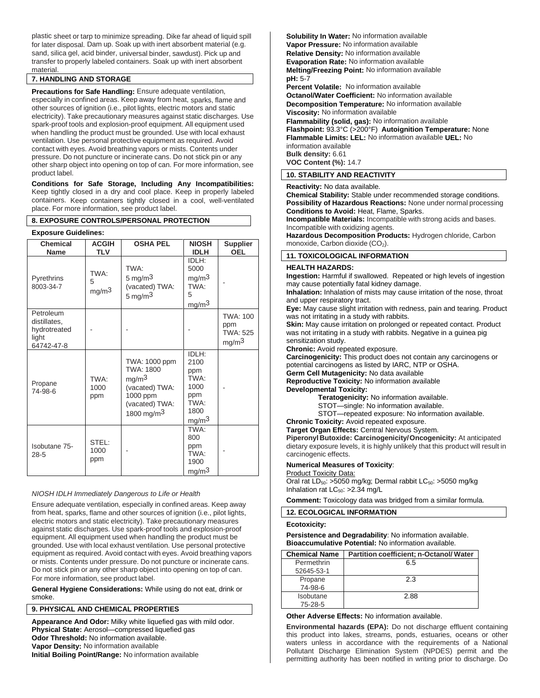plastic sheet or tarp to minimize spreading. Dike far ahead of liquid spill for later disposal. Dam up. Soak up with inert absorbent material (e.g. sand, silica gel, acid binder, universal binder, sawdust). Pick up and transfer to properly labeled containers. Soak up with inert absorbent material.

# **7. HANDLING AND STORAGE**

**Precautions for Safe Handling:** Ensure adequate ventilation, especially in confined areas. Keep away from heat, sparks, flame and other sources of ignition (i.e., pilot lights, electric motors and static electricity). Take precautionary measures against static discharges. Use spark-proof tools and explosion-proof equipment. All equipment used when handling the product must be grounded. Use with local exhaust ventilation. Use personal protective equipment as required. Avoid contact with eyes. Avoid breathing vapors or mists. Contents under pressure. Do not puncture or incinerate cans. Do not stick pin or any other sharp object into opening on top of can. For more information, see product label.

**Conditions for Safe Storage, Including Any Incompatibilities:**  Keep tightly closed in a dry and cool place. Keep in properly labeled containers. Keep containers tightly closed in a cool, well-ventilated place. For more information, see product label.

## **8. EXPOSURE CONTROLS/PERSONAL PROTECTION**

#### **Exposure Guidelines:**

| <b>Chemical</b><br>Name                                          | <b>ACGIH</b><br>TLV            | <b>OSHA PEL</b>                                                                                                         | <b>NIOSH</b><br><b>IDLH</b>                                                      | <b>Supplier</b><br><b>OEL</b>                           |
|------------------------------------------------------------------|--------------------------------|-------------------------------------------------------------------------------------------------------------------------|----------------------------------------------------------------------------------|---------------------------------------------------------|
| Pyrethrins<br>8003-34-7                                          | TWA:<br>5<br>mg/m <sup>3</sup> | TWA:<br>5 mg/m $3$<br>(vacated) TWA:<br>5 mg/m $3$                                                                      | IDLH:<br>5000<br>mq/m <sup>3</sup><br>TWA:<br>5<br>mg/m <sup>3</sup>             |                                                         |
| Petroleum<br>distillates,<br>hydrotreated<br>light<br>64742-47-8 |                                |                                                                                                                         |                                                                                  | TWA: 100<br>ppm<br><b>TWA: 525</b><br>mg/m <sup>3</sup> |
| Propane<br>74-98-6                                               | TWA:<br>1000<br>ppm            | TWA: 1000 ppm<br><b>TWA: 1800</b><br>mg/m <sup>3</sup><br>(vacated) TWA:<br>1000 ppm<br>(vacated) TWA:<br>1800 mg/m $3$ | IDLH:<br>2100<br>ppm<br>TWA:<br>1000<br>ppm<br>TWA:<br>1800<br>mg/m <sup>3</sup> |                                                         |
| Isobutane 75-<br>$28 - 5$                                        | STEL:<br>1000<br>ppm           |                                                                                                                         | TWA:<br>800<br>ppm<br>TWA:<br>1900<br>mg/m <sup>3</sup>                          |                                                         |

#### *NIOSH IDLH Immediately Dangerous to Life or Health*

Ensure adequate ventilation, especially in confined areas. Keep away from heat, sparks, flame and other sources of ignition (i.e., pilot lights, electric motors and static electricity). Take precautionary measures against static discharges. Use spark-proof tools and explosion-proof equipment. All equipment used when handling the product must be grounded. Use with local exhaust ventilation. Use personal protective equipment as required. Avoid contact with eyes. Avoid breathing vapors or mists. Contents under pressure. Do not puncture or incinerate cans. Do not stick pin or any other sharp object into opening on top of can. For more information, see product label.

**General Hygiene Considerations:** While using do not eat, drink or smoke.

## **9. PHYSICAL AND CHEMICAL PROPERTIES**

**Appearance And Odor:** Milky white liquefied gas with mild odor. **Physical State:** Aerosol—compressed liquefied gas **Odor Threshold:** No information available. **Vapor Density:** No information available **Initial Boiling Point/Range:** No information available

**Solubility In Water:** No information available **Vapor Pressure:** No information available **Relative Density:** No information available **Evaporation Rate:** No information available **Melting/Freezing Point:** No information available **pH:** 5-7

**Percent Volatile:** No information available **Octanol/Water Coefficient:** No information available **Decomposition Temperature:** No information available **Viscosity:** No information available **Flammability (solid, gas):** No information available **Flashpoint:** 93.3°C (>200°F) **Autoignition Temperature:** None **Flammable Limits: LEL:** No information available **UEL:** No information available **Bulk density:** 6.61 **VOC Content (%):** 14.7

## **10. STABILITY AND REACTIVITY**

**Reactivity:** No data available.

**Chemical Stability:** Stable under recommended storage conditions. **Possibility of Hazardous Reactions:** None under normal processing **Conditions to Avoid:** Heat, Flame, Sparks.

**Incompatible Materials:** Incompatible with strong acids and bases. Incompatible with oxidizing agents.

**Hazardous Decomposition Products:** Hydrogen chloride, Carbon monoxide, Carbon dioxide (CO<sub>2</sub>).

#### **11. TOXICOLOGICAL INFORMATION**

#### **HEALTH HAZARDS:**

**Ingestion:** Harmful if swallowed. Repeated or high levels of ingestion may cause potentially fatal kidney damage.

**Inhalation:** Inhalation of mists may cause irritation of the nose, throat and upper respiratory tract.

**Eye:** May cause slight irritation with redness, pain and tearing. Product was not irritating in a study with rabbits.

**Skin:** May cause irritation on prolonged or repeated contact. Product was not irritating in a study with rabbits. Negative in a guinea pig sensitization study.

**Chronic:** Avoid repeated exposure.

**Carcinogenicity:** This product does not contain any carcinogens or potential carcinogens as listed by IARC, NTP or OSHA.

**Germ Cell Mutagenicity:** No data available

**Reproductive Toxicity:** No information available

# **Developmental Toxicity:**

**Teratogenicity:** No information available.

STOT—single: No information available.

STOT—repeated exposure: No information available.

**Chronic Toxicity:** Avoid repeated exposure.

**Target Organ Effects:** Central Nervous System.

**Piperonyl Butoxide: Carcinogenicity/Oncogenicity:** At anticipated dietary exposure levels, it is highly unlikely that this product will result in carcinogenic effects.

## **Numerical Measures of Toxicity**:

**Product Toxicity Data:** 

Oral rat  $LD_{50}$ : >5050 mg/kg; Dermal rabbit  $LC_{50}$ : >5050 mg/kg Inhalation rat  $LC_{50}$ : >2.34 mg/L

**Comment:** Toxicology data was bridged from a similar formula.

## **12. ECOLOGICAL INFORMATION**

#### **Ecotoxicity:**

**Persistence and Degradability**: No information available. **Bioaccumulative Potential:** No information available.

| <b>Chemical Name</b> | <b>Partition coefficient; n-Octanol/ Water</b> |
|----------------------|------------------------------------------------|
| Permethrin           | 6.5                                            |
| 52645-53-1           |                                                |
| Propane              | 2.3                                            |
| 74-98-6              |                                                |
| Isobutane            | 2.88                                           |
| 75-28-5              |                                                |

### **Other Adverse Effects:** No information available.

**Environmental hazards (EPA):** Do not discharge effluent containing this product into lakes, streams, ponds, estuaries, oceans or other waters unless in accordance with the requirements of a National Pollutant Discharge Elimination System (NPDES) permit and the permitting authority has been notified in writing prior to discharge. Do